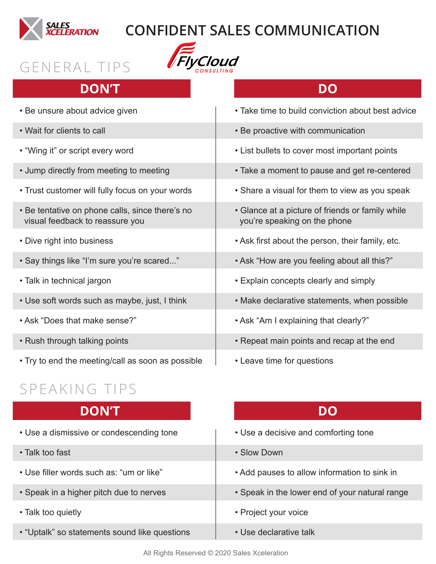

## **CONFIDENT SALES COMMUNICATION**

# GENERAL TIPS



### **DON'T DO**

| • Be unsure about advice given                                                     | • Take time to build conviction about best advice                                |
|------------------------------------------------------------------------------------|----------------------------------------------------------------------------------|
| • Wait for clients to call                                                         | • Be proactive with communication                                                |
| • "Wing it" or script every word                                                   | • List bullets to cover most important points                                    |
| • Jump directly from meeting to meeting                                            | • Take a moment to pause and get re-centered                                     |
| • Trust customer will fully focus on your words                                    | • Share a visual for them to view as you speak                                   |
| • Be tentative on phone calls, since there's no<br>visual feedback to reassure you | • Glance at a picture of friends or family while<br>you're speaking on the phone |
| • Dive right into business                                                         | • Ask first about the person, their family, etc.                                 |
| • Say things like "I'm sure you're scared"                                         | • Ask "How are you feeling about all this?"                                      |
| • Talk in technical jargon                                                         | • Explain concepts clearly and simply                                            |
| • Use soft words such as maybe, just, I think                                      | • Make declarative statements, when possible                                     |
| • Ask "Does that make sense?"                                                      | • Ask "Am I explaining that clearly?"                                            |
| • Rush through talking points                                                      | • Repeat main points and recap at the end                                        |
| • Try to end the meeting/call as soon as possible                                  | • Leave time for questions                                                       |

## SPEAKING TIPS

## **DON'T DO**

| • Use a dismissive or condescending tone      | • Use a decisive and comforting tone           |
|-----------------------------------------------|------------------------------------------------|
| • Talk too fast                               | • Slow Down                                    |
| • Use filler words such as: "um or like"      | • Add pauses to allow information to sink in   |
| • Speak in a higher pitch due to nerves       | • Speak in the lower end of your natural range |
| • Talk too quietly                            | • Project your voice                           |
| • "Uptalk" so statements sound like questions | • Use declarative talk                         |